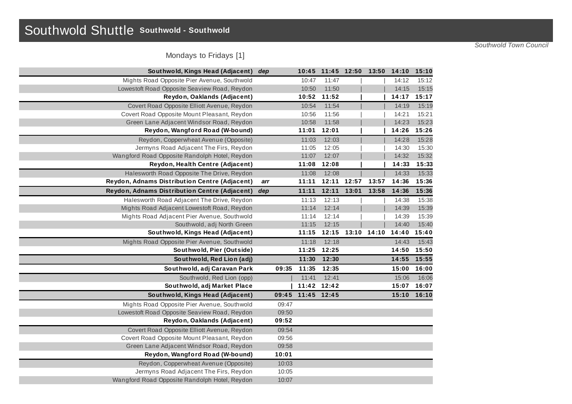## Southwold Shuttle **Southwold - Southwold**

*Southwold Town Council*

Mondays to Fridays [1]

| Southwold, Kings Head (Adjacent)              | dep |       |             | 10:45 11:45 12:50 |       | 13:50 | 14:10 15:10 |       |
|-----------------------------------------------|-----|-------|-------------|-------------------|-------|-------|-------------|-------|
| Mights Road Opposite Pier Avenue, Southwold   |     |       | 10:47       | 11:47             |       |       | 14:12       | 15:12 |
| Lowestoft Road Opposite Seaview Road, Reydon  |     |       | 10:50       | 11:50             |       |       | 14:15       | 15:15 |
| Reydon, Oaklands (Adjacent)                   |     |       | 10:52       | 11:52             |       |       | 14:17 15:17 |       |
| Covert Road Opposite Elliott Avenue, Reydon   |     |       | 10:54       | 11:54             |       |       | 14:19       | 15:19 |
| Covert Road Opposite Mount Pleasant, Reydon   |     |       | 10:56       | 11:56             |       |       | 14:21       | 15:21 |
| Green Lane Adjacent Windsor Road, Reydon      |     |       | 10:58       | 11:58             |       |       | 14:23       | 15:23 |
| Reydon, Wangford Road (W-bound)               |     |       | 11:01       | 12:01             |       |       | 14:26       | 15:26 |
| Reydon, Copperwheat Avenue (Opposite)         |     |       | 11:03       | 12:03             |       |       | 14:28       | 15:28 |
| Jermyns Road Adjacent The Firs, Reydon        |     |       | 11:05       | 12:05             |       |       | 14:30       | 15:30 |
| Wangford Road Opposite Randolph Hotel, Reydon |     |       | 11:07       | 12:07             |       |       | 14:32       | 15:32 |
| Reydon, Health Centre (Adjacent)              |     |       | 11:08       | 12:08             |       |       | 14:33       | 15:33 |
| Halesworth Road Opposite The Drive, Reydon    |     |       | 11:08       | 12:08             |       |       | 14:33       | 15:33 |
| Reydon, Adnams Distribution Centre (Adjacent) | arr |       | 11:11       | 12:11             | 12:57 | 13:57 | 14:36       | 15:36 |
| Reydon, Adnams Distribution Centre (Adjacent) | dep |       | 11:11       | 12:11             | 13:01 | 13:58 | 14:36       | 15:36 |
| Halesworth Road Adjacent The Drive, Reydon    |     |       | 11:13       | 12:13             |       |       | 14:38       | 15:38 |
| Mights Road Adjacent Lowestoft Road, Reydon   |     |       | 11:14       | 12:14             |       |       | 14:39       | 15:39 |
| Mights Road Adjacent Pier Avenue, Southwold   |     |       | 11:14       | 12:14             |       |       | 14:39       | 15:39 |
| Southwold, adj North Green                    |     |       | 11:15       | 12:15             |       |       | 14:40       | 15:40 |
| Southwold, Kings Head (Adjacent)              |     |       | 11:15       | 12:15             | 13:10 | 14:10 | 14:40       | 15:40 |
| Mights Road Opposite Pier Avenue, Southwold   |     |       | 11:18       | 12:18             |       |       | 14:43       | 15:43 |
| Southwold, Pier (Outside)                     |     |       | 11:25       | 12:25             |       |       | 14:50       | 15:50 |
| Southwold, Red Lion (adj)                     |     |       | 11:30       | 12:30             |       |       | 14:55       | 15:55 |
| Southwold, adj Caravan Park                   |     | 09:35 | 11:35       | 12:35             |       |       | 15:00       | 16:00 |
| Southwold, Red Lion (opp)                     |     |       | 11:41       | 12:41             |       |       | 15:06       | 16:06 |
| Southwold, adj Market Place                   |     |       | 11:42 12:42 |                   |       |       | 15:07       | 16:07 |
| Southwold, Kings Head (Adjacent)              |     | 09:45 | 11:45 12:45 |                   |       |       | 15:10       | 16:10 |
| Mights Road Opposite Pier Avenue, Southwold   |     | 09:47 |             |                   |       |       |             |       |
| Lowestoft Road Opposite Seaview Road, Reydon  |     | 09:50 |             |                   |       |       |             |       |
| Reydon, Oaklands (Adjacent)                   |     | 09:52 |             |                   |       |       |             |       |
| Covert Road Opposite Elliott Avenue, Reydon   |     | 09:54 |             |                   |       |       |             |       |
| Covert Road Opposite Mount Pleasant, Reydon   |     | 09:56 |             |                   |       |       |             |       |
| Green Lane Adjacent Windsor Road, Reydon      |     | 09:58 |             |                   |       |       |             |       |
| Reydon, Wangford Road (W-bound)               |     | 10:01 |             |                   |       |       |             |       |
| Reydon, Copperwheat Avenue (Opposite)         |     | 10:03 |             |                   |       |       |             |       |
| Jermyns Road Adjacent The Firs, Reydon        |     | 10:05 |             |                   |       |       |             |       |
| Wangford Road Opposite Randolph Hotel, Reydon |     | 10:07 |             |                   |       |       |             |       |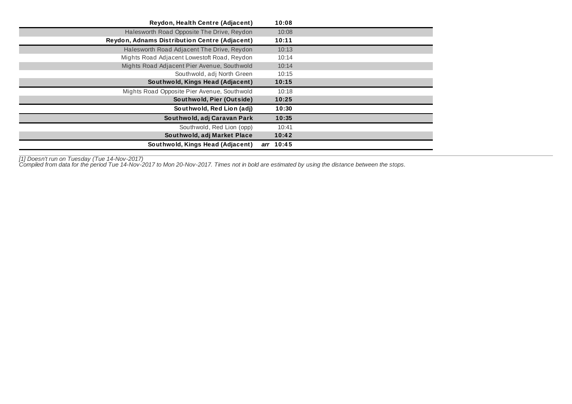| Reydon, Health Centre (Adjacent)              | 10:08     |  |
|-----------------------------------------------|-----------|--|
| Halesworth Road Opposite The Drive, Reydon    | 10:08     |  |
| Reydon, Adnams Distribution Centre (Adjacent) | 10:11     |  |
| Halesworth Road Adjacent The Drive, Reydon    | 10:13     |  |
| Mights Road Adjacent Lowestoft Road, Reydon   | 10:14     |  |
| Mights Road Adjacent Pier Avenue, Southwold   | 10:14     |  |
| Southwold, adj North Green                    | 10:15     |  |
| Southwold, Kings Head (Adjacent)              | 10:15     |  |
| Mights Road Opposite Pier Avenue, Southwold   | 10:18     |  |
| Southwold, Pier (Outside)                     | 10:25     |  |
| Southwold, Red Lion (adj)                     | 10:30     |  |
| Southwold, adj Caravan Park                   | 10:35     |  |
| Southwold, Red Lion (opp)                     | 10:41     |  |
| Southwold, adj Market Place                   | 10:42     |  |
| Southwold, Kings Head (Adjacent)              | arr 10:45 |  |

*[1] Doesn't run on Tuesday (Tue 14-Nov-2017)*

Compiled from data for the period Tue 14-Nov-2017 to Mon 20-Nov-2017. Times not in bold are estimated by using the distance between the stops.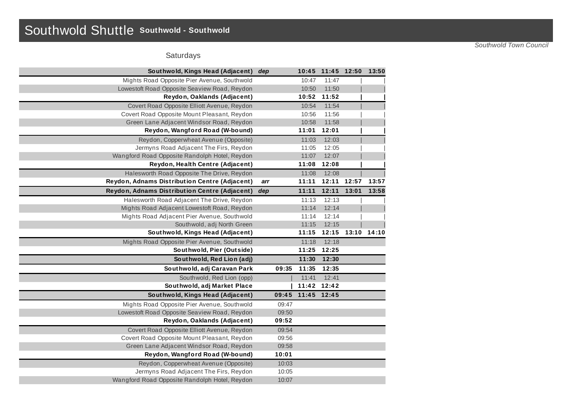## Southwold Shuttle **Southwold - Southwold**

*Southwold Town Council*

## Saturdays

| Southwold, Kings Head (Adjacent)              | dep   |       | 10:45 11:45 12:50 |       | 13:50 |
|-----------------------------------------------|-------|-------|-------------------|-------|-------|
| Mights Road Opposite Pier Avenue, Southwold   |       | 10:47 | 11:47             |       |       |
| Lowestoft Road Opposite Seaview Road, Reydon  |       | 10:50 | 11:50             |       |       |
| Reydon, Oaklands (Adjacent)                   |       | 10:52 | 11:52             |       |       |
| Covert Road Opposite Elliott Avenue, Reydon   |       | 10:54 | 11:54             |       |       |
| Covert Road Opposite Mount Pleasant, Reydon   |       | 10:56 | 11:56             |       |       |
| Green Lane Adjacent Windsor Road, Reydon      |       | 10:58 | 11:58             |       |       |
| Reydon, Wangford Road (W-bound)               |       | 11:01 | 12:01             |       |       |
| Reydon, Copperwheat Avenue (Opposite)         |       | 11:03 | 12:03             |       |       |
| Jermyns Road Adjacent The Firs, Reydon        |       | 11:05 | 12:05             |       |       |
| Wangford Road Opposite Randolph Hotel, Reydon |       | 11:07 | 12:07             |       |       |
| Reydon, Health Centre (Adjacent)              |       | 11:08 | 12:08             |       |       |
| Halesworth Road Opposite The Drive, Reydon    |       | 11:08 | 12:08             |       |       |
| Reydon, Adnams Distribution Centre (Adjacent) | arr   | 11:11 | 12:11             | 12:57 | 13:57 |
| Reydon, Adnams Distribution Centre (Adjacent) | dep   | 11:11 | 12:11             | 13:01 | 13:58 |
| Halesworth Road Adjacent The Drive, Reydon    |       | 11:13 | 12:13             |       |       |
| Mights Road Adjacent Lowestoft Road, Reydon   |       | 11:14 | 12:14             |       |       |
| Mights Road Adjacent Pier Avenue, Southwold   |       | 11:14 | 12:14             |       |       |
| Southwold, adj North Green                    |       | 11:15 | 12:15             |       |       |
| Southwold, Kings Head (Adjacent)              |       | 11:15 | 12:15             | 13:10 | 14:10 |
| Mights Road Opposite Pier Avenue, Southwold   |       | 11:18 | 12:18             |       |       |
| Southwold, Pier (Outside)                     |       | 11:25 | 12:25             |       |       |
| Southwold, Red Lion (adj)                     |       | 11:30 | 12:30             |       |       |
| Southwold, adj Caravan Park                   | 09:35 | 11:35 | 12:35             |       |       |
| Southwold, Red Lion (opp)                     |       | 11:41 | 12:41             |       |       |
| Southwold, adj Market Place                   |       |       | 11:42 12:42       |       |       |
| Southwold, Kings Head (Adjacent)              | 09:45 | 11:45 | 12:45             |       |       |
| Mights Road Opposite Pier Avenue, Southwold   | 09:47 |       |                   |       |       |
| Lowestoft Road Opposite Seaview Road, Reydon  | 09:50 |       |                   |       |       |
| Reydon, Oaklands (Adjacent)                   | 09:52 |       |                   |       |       |
| Covert Road Opposite Elliott Avenue, Reydon   | 09:54 |       |                   |       |       |
| Covert Road Opposite Mount Pleasant, Reydon   | 09:56 |       |                   |       |       |
| Green Lane Adjacent Windsor Road, Reydon      | 09:58 |       |                   |       |       |
| Reydon, Wangford Road (W-bound)               | 10:01 |       |                   |       |       |
| Reydon, Copperwheat Avenue (Opposite)         | 10:03 |       |                   |       |       |
| Jermyns Road Adjacent The Firs, Reydon        | 10:05 |       |                   |       |       |
| Wangford Road Opposite Randolph Hotel, Reydon | 10:07 |       |                   |       |       |